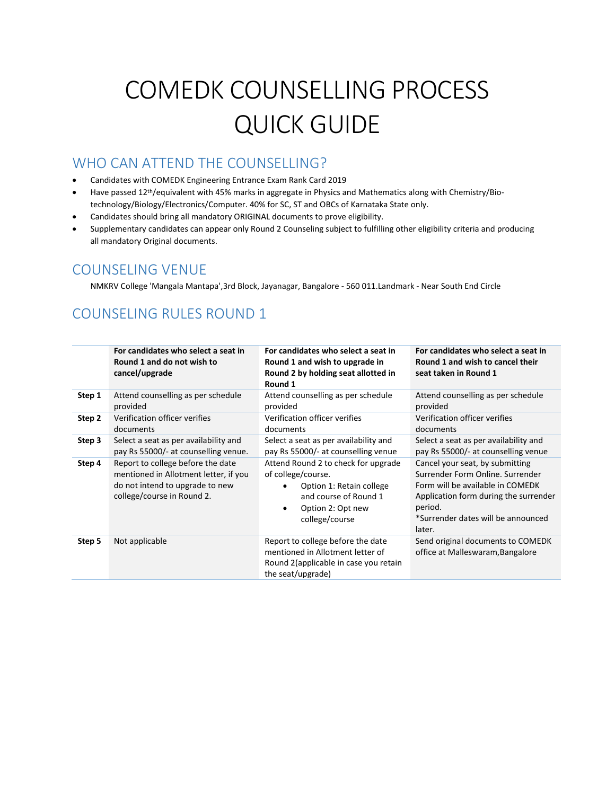# COMEDK COUNSELLING PROCESS QUICK GUIDE

#### WHO CAN ATTEND THE COUNSELLING?

- Candidates with COMEDK Engineering Entrance Exam Rank Card 2019
- Have passed 12th/equivalent with 45% marks in aggregate in Physics and Mathematics along with Chemistry/Biotechnology/Biology/Electronics/Computer. 40% for SC, ST and OBCs of Karnataka State only.
- Candidates should bring all mandatory ORIGINAL documents to prove eligibility.
- Supplementary candidates can appear only Round 2 Counseling subject to fulfilling other eligibility criteria and producing all mandatory Original documents.

#### COUNSELING VENUE

NMKRV College 'Mangala Mantapa',3rd Block, Jayanagar, Bangalore - 560 011.Landmark - Near South End Circle

#### COUNSELING RULES ROUND 1

|        | For candidates who select a seat in<br>Round 1 and do not wish to<br>cancel/upgrade                                                         | For candidates who select a seat in<br>Round 1 and wish to upgrade in<br>Round 2 by holding seat allotted in<br>Round 1                                            | For candidates who select a seat in<br>Round 1 and wish to cancel their<br>seat taken in Round 1                                                                                                            |
|--------|---------------------------------------------------------------------------------------------------------------------------------------------|--------------------------------------------------------------------------------------------------------------------------------------------------------------------|-------------------------------------------------------------------------------------------------------------------------------------------------------------------------------------------------------------|
| Step 1 | Attend counselling as per schedule                                                                                                          | Attend counselling as per schedule                                                                                                                                 | Attend counselling as per schedule                                                                                                                                                                          |
|        | provided                                                                                                                                    | provided                                                                                                                                                           | provided                                                                                                                                                                                                    |
| Step 2 | Verification officer verifies                                                                                                               | Verification officer verifies                                                                                                                                      | Verification officer verifies                                                                                                                                                                               |
|        | documents                                                                                                                                   | documents                                                                                                                                                          | documents                                                                                                                                                                                                   |
| Step 3 | Select a seat as per availability and                                                                                                       | Select a seat as per availability and                                                                                                                              | Select a seat as per availability and                                                                                                                                                                       |
|        | pay Rs 55000/- at counselling venue.                                                                                                        | pay Rs 55000/- at counselling venue                                                                                                                                | pay Rs 55000/- at counselling venue                                                                                                                                                                         |
| Step 4 | Report to college before the date<br>mentioned in Allotment letter, if you<br>do not intend to upgrade to new<br>college/course in Round 2. | Attend Round 2 to check for upgrade<br>of college/course.<br>Option 1: Retain college<br>and course of Round 1<br>Option 2: Opt new<br>$\bullet$<br>college/course | Cancel your seat, by submitting<br>Surrender Form Online, Surrender<br>Form will be available in COMEDK<br>Application form during the surrender<br>period.<br>*Surrender dates will be announced<br>later. |
| Step 5 | Not applicable                                                                                                                              | Report to college before the date<br>mentioned in Allotment letter of<br>Round 2 (applicable in case you retain<br>the seat/upgrade)                               | Send original documents to COMEDK<br>office at Malleswaram, Bangalore                                                                                                                                       |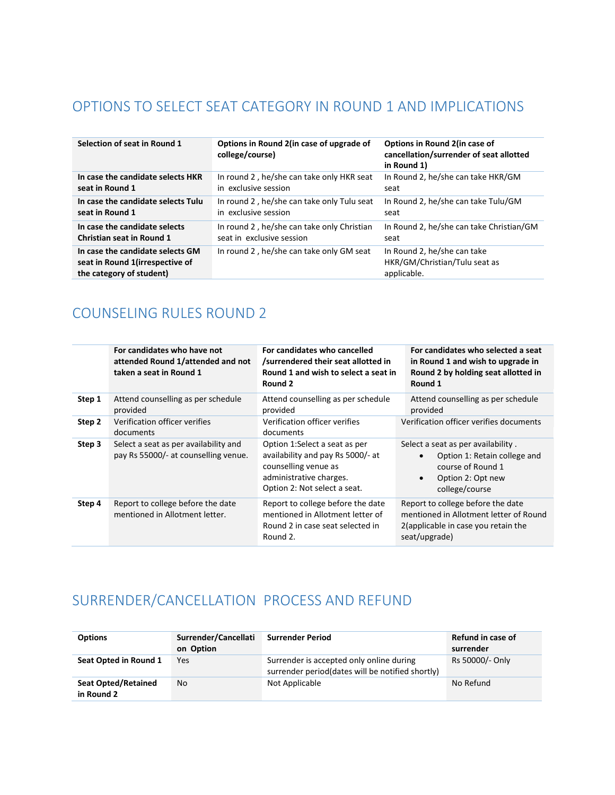#### OPTIONS TO SELECT SEAT CATEGORY IN ROUND 1 AND IMPLICATIONS

| Selection of seat in Round 1                                                                    | Options in Round 2 (in case of upgrade of<br>college/course) | Options in Round 2(in case of<br>cancellation/surrender of seat allotted<br>in Round 1) |  |  |
|-------------------------------------------------------------------------------------------------|--------------------------------------------------------------|-----------------------------------------------------------------------------------------|--|--|
| In case the candidate selects HKR                                                               | In round 2, he/she can take only HKR seat                    | In Round 2, he/she can take HKR/GM                                                      |  |  |
| seat in Round 1                                                                                 | in exclusive session                                         | seat                                                                                    |  |  |
| In case the candidate selects Tulu                                                              | In round 2, he/she can take only Tulu seat                   | In Round 2, he/she can take Tulu/GM                                                     |  |  |
| seat in Round 1                                                                                 | in exclusive session                                         | seat                                                                                    |  |  |
| In case the candidate selects                                                                   | In round 2, he/she can take only Christian                   | In Round 2, he/she can take Christian/GM                                                |  |  |
| <b>Christian seat in Round 1</b>                                                                | seat in exclusive session                                    | seat                                                                                    |  |  |
| In case the candidate selects GM<br>seat in Round 1(irrespective of<br>the category of student) | In round 2, he/she can take only GM seat                     | In Round 2, he/she can take<br>HKR/GM/Christian/Tulu seat as<br>applicable.             |  |  |

#### COUNSELING RULES ROUND 2

|        | For candidates who have not<br>attended Round 1/attended and not<br>taken a seat in Round 1 | For candidates who cancelled<br>/surrendered their seat allotted in<br>Round 1 and wish to select a seat in<br>Round 2                                | For candidates who selected a seat<br>in Round 1 and wish to upgrade in<br>Round 2 by holding seat allotted in<br>Round 1                                |
|--------|---------------------------------------------------------------------------------------------|-------------------------------------------------------------------------------------------------------------------------------------------------------|----------------------------------------------------------------------------------------------------------------------------------------------------------|
| Step 1 | Attend counselling as per schedule<br>provided                                              | Attend counselling as per schedule<br>provided                                                                                                        | Attend counselling as per schedule<br>provided                                                                                                           |
| Step 2 | Verification officer verifies<br>documents                                                  | Verification officer verifies<br>documents                                                                                                            | Verification officer verifies documents                                                                                                                  |
| Step 3 | Select a seat as per availability and<br>pay Rs 55000/- at counselling venue.               | Option 1:Select a seat as per<br>availability and pay Rs 5000/- at<br>counselling venue as<br>administrative charges.<br>Option 2: Not select a seat. | Select a seat as per availability.<br>Option 1: Retain college and<br>$\bullet$<br>course of Round 1<br>Option 2: Opt new<br>$\bullet$<br>college/course |
| Step 4 | Report to college before the date<br>mentioned in Allotment letter.                         | Report to college before the date<br>mentioned in Allotment letter of<br>Round 2 in case seat selected in<br>Round 2.                                 | Report to college before the date<br>mentioned in Allotment letter of Round<br>2(applicable in case you retain the<br>seat/upgrade)                      |

### SURRENDER/CANCELLATION PROCESS AND REFUND

| <b>Options</b>                           | Surrender/Cancellati<br>on Option | <b>Surrender Period</b>                                                                      | Refund in case of<br>surrender |
|------------------------------------------|-----------------------------------|----------------------------------------------------------------------------------------------|--------------------------------|
| Seat Opted in Round 1                    | Yes                               | Surrender is accepted only online during<br>surrender period(dates will be notified shortly) | Rs 50000/- Only                |
| <b>Seat Opted/Retained</b><br>in Round 2 | No                                | Not Applicable                                                                               | No Refund                      |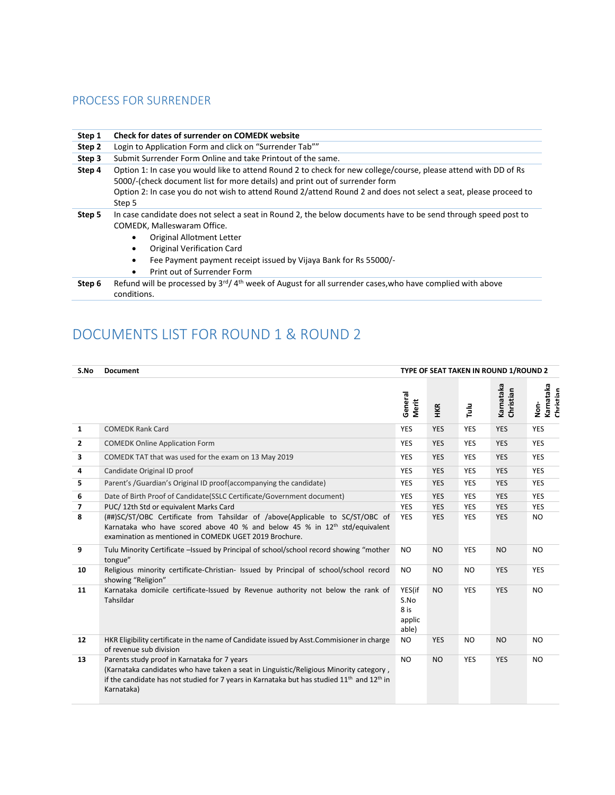#### PROCESS FOR SURRENDER

conditions.

| Step 1 | Check for dates of surrender on COMEDK website                                                                                                                                                                                                                                                                                                                  |  |  |  |  |
|--------|-----------------------------------------------------------------------------------------------------------------------------------------------------------------------------------------------------------------------------------------------------------------------------------------------------------------------------------------------------------------|--|--|--|--|
| Step 2 | Login to Application Form and click on "Surrender Tab""                                                                                                                                                                                                                                                                                                         |  |  |  |  |
| Step 3 | Submit Surrender Form Online and take Printout of the same.                                                                                                                                                                                                                                                                                                     |  |  |  |  |
| Step 4 | Option 1: In case you would like to attend Round 2 to check for new college/course, please attend with DD of Rs<br>5000/-(check document list for more details) and print out of surrender form<br>Option 2: In case you do not wish to attend Round 2/attend Round 2 and does not select a seat, please proceed to<br>Step 5                                   |  |  |  |  |
| Step 5 | In case candidate does not select a seat in Round 2, the below documents have to be send through speed post to<br>COMEDK, Malleswaram Office.<br>Original Allotment Letter<br>$\bullet$<br>Original Verification Card<br>$\bullet$<br>Fee Payment payment receipt issued by Vijaya Bank for Rs 55000/-<br>$\bullet$<br>Print out of Surrender Form<br>$\bullet$ |  |  |  |  |
| Step 6 | Refund will be processed by $3^{rd}/4^{th}$ week of August for all surrender cases, who have complied with above                                                                                                                                                                                                                                                |  |  |  |  |

## DOCUMENTS LIST FOR ROUND 1 & ROUND 2

| S.No                     | <b>Document</b>                                                                                                                                                                                                                                                            | TYPE OF SEAT TAKEN IN ROUND 1/ROUND 2     |            |               |                        |                                |
|--------------------------|----------------------------------------------------------------------------------------------------------------------------------------------------------------------------------------------------------------------------------------------------------------------------|-------------------------------------------|------------|---------------|------------------------|--------------------------------|
|                          |                                                                                                                                                                                                                                                                            | General<br>Merit                          | HKR        | $\frac{3}{2}$ | Karnataka<br>Christian | Karnataka<br>Christian<br>Non- |
| $\mathbf{1}$             | <b>COMEDK Rank Card</b>                                                                                                                                                                                                                                                    | <b>YES</b>                                | <b>YES</b> | <b>YES</b>    | <b>YES</b>             | <b>YES</b>                     |
| $\overline{2}$           | <b>COMEDK Online Application Form</b>                                                                                                                                                                                                                                      | <b>YES</b>                                | <b>YES</b> | <b>YES</b>    | <b>YES</b>             | <b>YES</b>                     |
| 3                        | COMEDK TAT that was used for the exam on 13 May 2019                                                                                                                                                                                                                       | <b>YES</b>                                | <b>YES</b> | <b>YES</b>    | <b>YES</b>             | <b>YES</b>                     |
| 4                        | Candidate Original ID proof                                                                                                                                                                                                                                                | <b>YES</b>                                | <b>YES</b> | <b>YES</b>    | <b>YES</b>             | <b>YES</b>                     |
| 5                        | Parent's /Guardian's Original ID proof(accompanying the candidate)                                                                                                                                                                                                         | <b>YES</b>                                | <b>YES</b> | <b>YES</b>    | <b>YES</b>             | <b>YES</b>                     |
| 6                        | Date of Birth Proof of Candidate (SSLC Certificate/Government document)                                                                                                                                                                                                    | <b>YES</b>                                | <b>YES</b> | <b>YES</b>    | <b>YES</b>             | <b>YES</b>                     |
| $\overline{\phantom{a}}$ | PUC/12th Std or equivalent Marks Card                                                                                                                                                                                                                                      | <b>YES</b>                                | <b>YES</b> | <b>YES</b>    | <b>YES</b>             | <b>YES</b>                     |
| 8                        | (##)SC/ST/OBC Certificate from Tahsildar of /above(Applicable to SC/ST/OBC of<br>Karnataka who have scored above 40 % and below 45 % in 12 <sup>th</sup> std/equivalent<br>examination as mentioned in COMEDK UGET 2019 Brochure.                                          | <b>YES</b>                                | <b>YES</b> | <b>YES</b>    | <b>YES</b>             | <b>NO</b>                      |
| 9                        | Tulu Minority Certificate -Issued by Principal of school/school record showing "mother<br>tongue"                                                                                                                                                                          | <b>NO</b>                                 | <b>NO</b>  | <b>YES</b>    | <b>NO</b>              | <b>NO</b>                      |
| 10                       | Religious minority certificate-Christian- Issued by Principal of school/school record<br>showing "Religion"                                                                                                                                                                | N <sub>O</sub>                            | <b>NO</b>  | NO.           | <b>YES</b>             | <b>YES</b>                     |
| 11                       | Karnataka domicile certificate-Issued by Revenue authority not below the rank of<br>Tahsildar                                                                                                                                                                              | YES(if<br>S.No<br>8 is<br>applic<br>able) | <b>NO</b>  | <b>YES</b>    | <b>YES</b>             | <b>NO</b>                      |
| 12                       | HKR Eligibility certificate in the name of Candidate issued by Asst.Commisioner in charge<br>of revenue sub division                                                                                                                                                       | <b>NO</b>                                 | <b>YES</b> | <b>NO</b>     | <b>NO</b>              | <b>NO</b>                      |
| 13                       | Parents study proof in Karnataka for 7 years<br>(Karnataka candidates who have taken a seat in Linguistic/Religious Minority category,<br>if the candidate has not studied for 7 years in Karnataka but has studied 11 <sup>th</sup> and 12 <sup>th</sup> in<br>Karnataka) | <b>NO</b>                                 | <b>NO</b>  | <b>YES</b>    | <b>YES</b>             | <b>NO</b>                      |